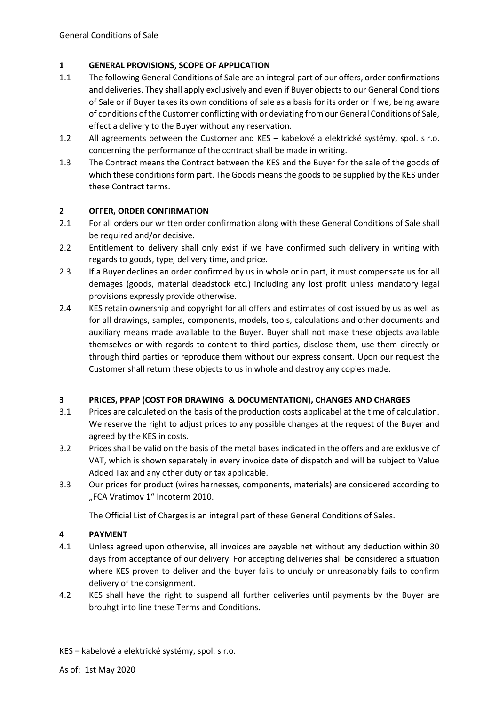## **1 GENERAL PROVISIONS, SCOPE OF APPLICATION**

- 1.1 The following General Conditions of Sale are an integral part of our offers, order confirmations and deliveries. They shall apply exclusively and even if Buyer objects to our General Conditions of Sale or if Buyer takes its own conditions of sale as a basis for its order or if we, being aware of conditions of the Customer conflicting with or deviating from our General Conditions of Sale, effect a delivery to the Buyer without any reservation.
- 1.2 All agreements between the Customer and KES kabelové a elektrické systémy, spol. s r.o. concerning the performance of the contract shall be made in writing.
- 1.3 The Contract means the Contract between the KES and the Buyer for the sale of the goods of which these conditions form part. The Goods means the goods to be supplied by the KES under these Contract terms.

## **2 OFFER, ORDER CONFIRMATION**

- 2.1 For all orders our written order confirmation along with these General Conditions of Sale shall be required and/or decisive.
- 2.2 Entitlement to delivery shall only exist if we have confirmed such delivery in writing with regards to goods, type, delivery time, and price.
- 2.3 If a Buyer declines an order confirmed by us in whole or in part, it must compensate us for all demages (goods, material deadstock etc.) including any lost profit unless mandatory legal provisions expressly provide otherwise.
- 2.4 KES retain ownership and copyright for all offers and estimates of cost issued by us as well as for all drawings, samples, components, models, tools, calculations and other documents and auxiliary means made available to the Buyer. Buyer shall not make these objects available themselves or with regards to content to third parties, disclose them, use them directly or through third parties or reproduce them without our express consent. Upon our request the Customer shall return these objects to us in whole and destroy any copies made.

## **3 PRICES, PPAP (COST FOR DRAWING & DOCUMENTATION), CHANGES AND CHARGES**

- 3.1 Prices are calculeted on the basis of the production costs applicabel at the time of calculation. We reserve the right to adjust prices to any possible changes at the request of the Buyer and agreed by the KES in costs.
- 3.2 Prices shall be valid on the basis of the metal bases indicated in the offers and are exklusive of VAT, which is shown separately in every invoice date of dispatch and will be subject to Value Added Tax and any other duty or tax applicable.
- 3.3 Our prices for product (wires harnesses, components, materials) are considered according to "FCA Vratimov 1" Incoterm 2010.

The Official List of Charges is an integral part of these General Conditions of Sales.

# **4 PAYMENT**

- 4.1 Unless agreed upon otherwise, all invoices are payable net without any deduction within 30 days from acceptance of our delivery. For accepting deliveries shall be considered a situation where KES proven to deliver and the buyer fails to unduly or unreasonably fails to confirm delivery of the consignment.
- 4.2 KES shall have the right to suspend all further deliveries until payments by the Buyer are brouhgt into line these Terms and Conditions.

KES – kabelové a elektrické systémy, spol. s r.o.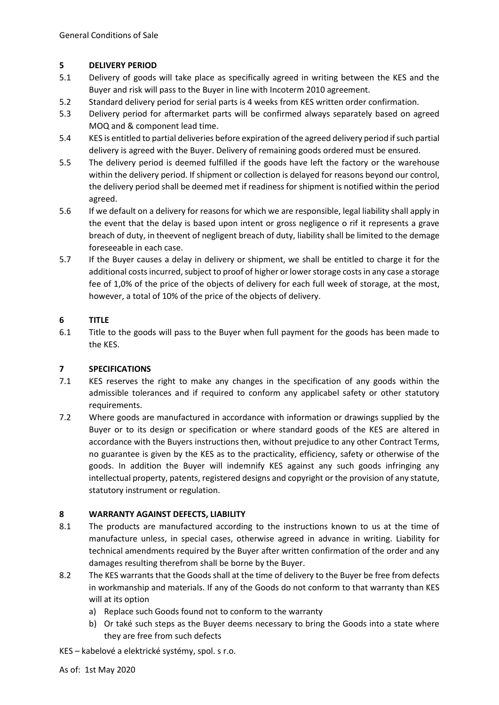## **5 DELIVERY PERIOD**

- 5.1 Delivery of goods will take place as specifically agreed in writing between the KES and the Buyer and risk will pass to the Buyer in line with Incoterm 2010 agreement.
- 5.2 Standard delivery period for serial parts is 4 weeks from KES written order confirmation.
- 5.3 Delivery period for aftermarket parts will be confirmed always separately based on agreed MOQ and & component lead time.
- 5.4 KES is entitled to partial deliveries before expiration of the agreed delivery period if such partial delivery is agreed with the Buyer. Delivery of remaining goods ordered must be ensured.
- 5.5 The delivery period is deemed fulfilled if the goods have left the factory or the warehouse within the delivery period. If shipment or collection is delayed for reasons beyond our control, the delivery period shall be deemed met if readiness for shipment is notified within the period agreed.
- 5.6 If we default on a delivery for reasons for which we are responsible, legal liability shall apply in the event that the delay is based upon intent or gross negligence o rif it represents a grave breach of duty, in theevent of negligent breach of duty, liability shall be limited to the demage foreseeable in each case.
- 5.7 If the Buyer causes a delay in delivery or shipment, we shall be entitled to charge it for the additional costs incurred, subject to proof of higher or lower storage costs in any case a storage fee of 1,0% of the price of the objects of delivery for each full week of storage, at the most, however, a total of 10% of the price of the objects of delivery.

## **6 TITLE**

6.1 Title to the goods will pass to the Buyer when full payment for the goods has been made to the KES.

## **7 SPECIFICATIONS**

- 7.1 KES reserves the right to make any changes in the specification of any goods within the admissible tolerances and if required to conform any applicabel safety or other statutory requirements.
- 7.2 Where goods are manufactured in accordance with information or drawings supplied by the Buyer or to its design or specification or where standard goods of the KES are altered in accordance with the Buyers instructions then, without prejudice to any other Contract Terms, no guarantee is given by the KES as to the practicality, efficiency, safety or otherwise of the goods. In addition the Buyer will indemnify KES against any such goods infringing any intellectual property, patents, registered designs and copyright or the provision of any statute, statutory instrument or regulation.

# **8 WARRANTY AGAINST DEFECTS, LIABILITY**

- 8.1 The products are manufactured according to the instructions known to us at the time of manufacture unless, in special cases, otherwise agreed in advance in writing. Liability for technical amendments required by the Buyer after written confirmation of the order and any damages resulting therefrom shall be borne by the Buyer.
- 8.2 The KES warrants that the Goods shall at the time of delivery to the Buyer be free from defects in workmanship and materials. If any of the Goods do not conform to that warranty than KES will at its option
	- a) Replace such Goods found not to conform to the warranty
	- b) Or také such steps as the Buyer deems necessary to bring the Goods into a state where they are free from such defects

KES – kabelové a elektrické systémy, spol. s r.o.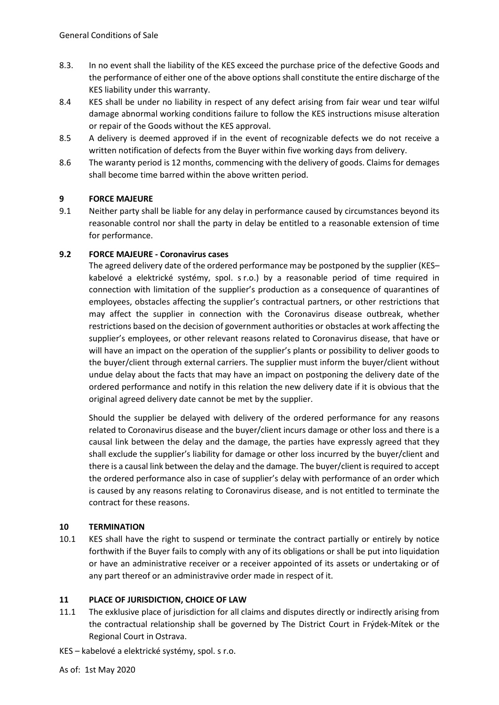- 8.3. In no event shall the liability of the KES exceed the purchase price of the defective Goods and the performance of either one of the above options shall constitute the entire discharge of the KES liability under this warranty.
- 8.4 KES shall be under no liability in respect of any defect arising from fair wear und tear wilful damage abnormal working conditions failure to follow the KES instructions misuse alteration or repair of the Goods without the KES approval.
- 8.5 A delivery is deemed approved if in the event of recognizable defects we do not receive a written notification of defects from the Buyer within five working days from delivery.
- 8.6 The waranty period is 12 months, commencing with the delivery of goods. Claims for demages shall become time barred within the above written period.

## **9 FORCE MAJEURE**

9.1 Neither party shall be liable for any delay in performance caused by circumstances beyond its reasonable control nor shall the party in delay be entitled to a reasonable extension of time for performance.

### **9.2 FORCE MAJEURE - Coronavirus cases**

The agreed delivery date of the ordered performance may be postponed by the supplier (KES– kabelové a elektrické systémy, spol. s r.o.) by a reasonable period of time required in connection with limitation of the supplier's production as a consequence of quarantines of employees, obstacles affecting the supplier's contractual partners, or other restrictions that may affect the supplier in connection with the Coronavirus disease outbreak, whether restrictions based on the decision of government authorities or obstacles at work affecting the supplier's employees, or other relevant reasons related to Coronavirus disease, that have or will have an impact on the operation of the supplier's plants or possibility to deliver goods to the buyer/client through external carriers. The supplier must inform the buyer/client without undue delay about the facts that may have an impact on postponing the delivery date of the ordered performance and notify in this relation the new delivery date if it is obvious that the original agreed delivery date cannot be met by the supplier.

Should the supplier be delayed with delivery of the ordered performance for any reasons related to Coronavirus disease and the buyer/client incurs damage or other loss and there is a causal link between the delay and the damage, the parties have expressly agreed that they shall exclude the supplier's liability for damage or other loss incurred by the buyer/client and there is a causal link between the delay and the damage. The buyer/client is required to accept the ordered performance also in case of supplier's delay with performance of an order which is caused by any reasons relating to Coronavirus disease, and is not entitled to terminate the contract for these reasons.

#### **10 TERMINATION**

10.1 KES shall have the right to suspend or terminate the contract partially or entirely by notice forthwith if the Buyer fails to comply with any of its obligations or shall be put into liquidation or have an administrative receiver or a receiver appointed of its assets or undertaking or of any part thereof or an administravive order made in respect of it.

#### **11 PLACE OF JURISDICTION, CHOICE OF LAW**

- 11.1 The exklusive place of jurisdiction for all claims and disputes directly or indirectly arising from the contractual relationship shall be governed by The District Court in Frýdek-Mítek or the Regional Court in Ostrava.
- KES kabelové a elektrické systémy, spol. s r.o.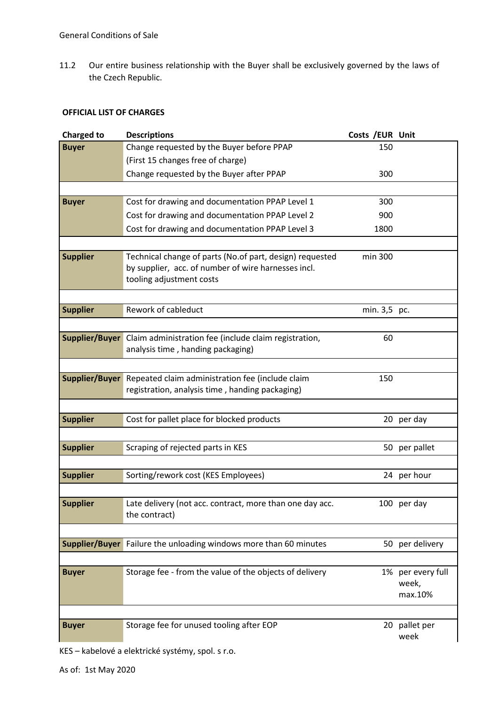11.2 Our entire business relationship with the Buyer shall be exclusively governed by the laws of the Czech Republic.

### **OFFICIAL LIST OF CHARGES**

| <b>Charged to</b> | <b>Descriptions</b>                                                                                                                         | Costs / EUR Unit |                                       |
|-------------------|---------------------------------------------------------------------------------------------------------------------------------------------|------------------|---------------------------------------|
| <b>Buyer</b>      | Change requested by the Buyer before PPAP                                                                                                   | 150              |                                       |
|                   | (First 15 changes free of charge)                                                                                                           |                  |                                       |
|                   | Change requested by the Buyer after PPAP                                                                                                    | 300              |                                       |
|                   |                                                                                                                                             |                  |                                       |
| <b>Buyer</b>      | Cost for drawing and documentation PPAP Level 1                                                                                             | 300              |                                       |
|                   | Cost for drawing and documentation PPAP Level 2                                                                                             | 900              |                                       |
|                   | Cost for drawing and documentation PPAP Level 3                                                                                             | 1800             |                                       |
|                   |                                                                                                                                             |                  |                                       |
| <b>Supplier</b>   | Technical change of parts (No.of part, design) requested<br>by supplier, acc. of number of wire harnesses incl.<br>tooling adjustment costs | min 300          |                                       |
|                   |                                                                                                                                             |                  |                                       |
| <b>Supplier</b>   | Rework of cableduct                                                                                                                         | min. 3,5 pc.     |                                       |
|                   |                                                                                                                                             |                  |                                       |
| Supplier/Buyer    | Claim administration fee (include claim registration,<br>analysis time, handing packaging)                                                  | 60               |                                       |
|                   |                                                                                                                                             |                  |                                       |
|                   | <b>Supplier/Buyer</b> Repeated claim administration fee (include claim<br>registration, analysis time, handing packaging)                   | 150              |                                       |
|                   |                                                                                                                                             |                  |                                       |
| <b>Supplier</b>   | Cost for pallet place for blocked products                                                                                                  |                  | 20 per day                            |
|                   |                                                                                                                                             |                  |                                       |
| <b>Supplier</b>   | Scraping of rejected parts in KES                                                                                                           |                  | 50 per pallet                         |
|                   |                                                                                                                                             |                  |                                       |
| <b>Supplier</b>   | Sorting/rework cost (KES Employees)                                                                                                         |                  | 24 per hour                           |
|                   |                                                                                                                                             |                  |                                       |
| <b>Supplier</b>   | Late delivery (not acc. contract, more than one day acc.<br>the contract)                                                                   |                  | 100 per day                           |
|                   |                                                                                                                                             |                  |                                       |
|                   | <b>Supplier/Buyer</b> Failure the unloading windows more than 60 minutes                                                                    |                  | 50 per delivery                       |
|                   |                                                                                                                                             |                  |                                       |
| <b>Buyer</b>      | Storage fee - from the value of the objects of delivery                                                                                     |                  | 1% per every full<br>week,<br>max.10% |
|                   |                                                                                                                                             |                  |                                       |
| <b>Buyer</b>      | Storage fee for unused tooling after EOP                                                                                                    |                  | 20 pallet per<br>week                 |

KES – kabelové a elektrické systémy, spol. s r.o.